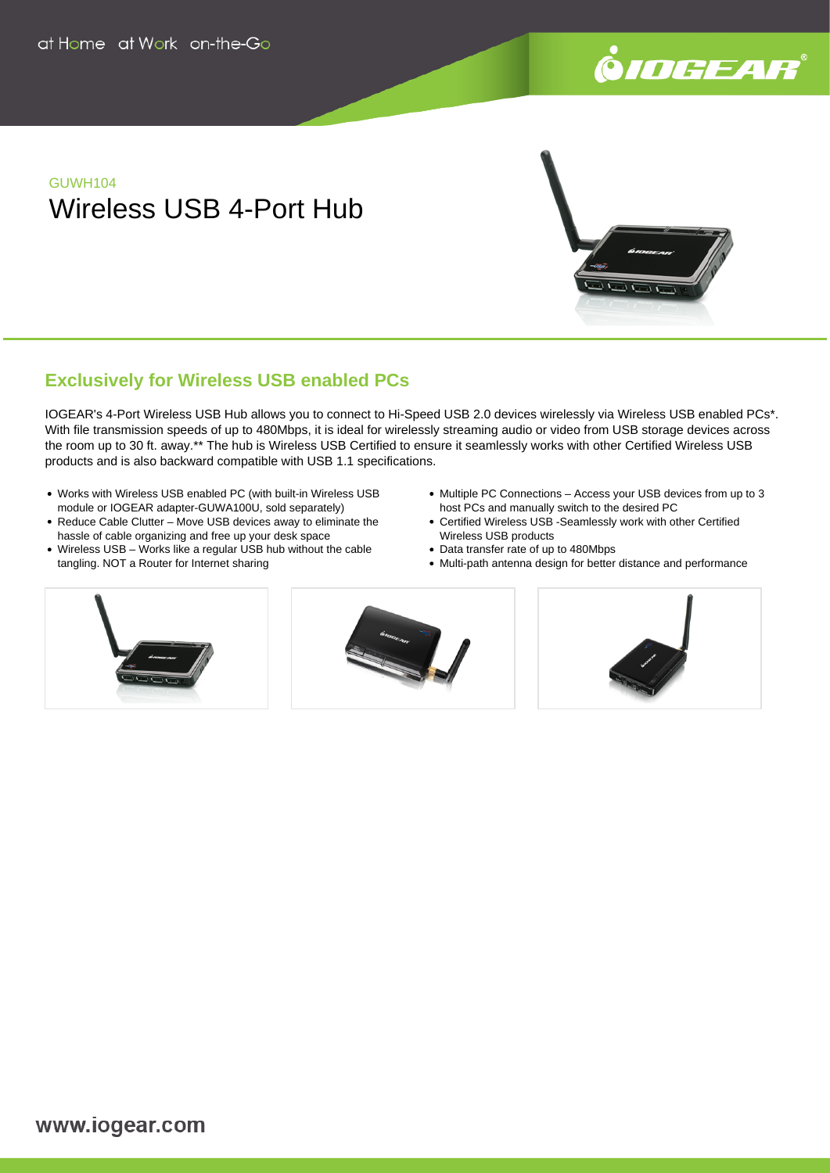

# GUWH104 Wireless USB 4-Port Hub

## **Exclusively for Wireless USB enabled PCs**

IOGEAR's 4-Port Wireless USB Hub allows you to connect to Hi-Speed USB 2.0 devices wirelessly via Wireless USB enabled PCs\*. With file transmission speeds of up to 480Mbps, it is ideal for wirelessly streaming audio or video from USB storage devices across the room up to 30 ft. away.\*\* The hub is Wireless USB Certified to ensure it seamlessly works with other Certified Wireless USB products and is also backward compatible with USB 1.1 specifications.

- Works with Wireless USB enabled PC (with built-in Wireless USB module or IOGEAR adapter-GUWA100U, sold separately)
- Reduce Cable Clutter Move USB devices away to eliminate the hassle of cable organizing and free up your desk space
- Wireless USB Works like a regular USB hub without the cable tangling. NOT a Router for Internet sharing
- Multiple PC Connections Access your USB devices from up to 3 host PCs and manually switch to the desired PC
- Certified Wireless USB -Seamlessly work with other Certified Wireless USB products
- Data transfer rate of up to 480Mbps
- Multi-path antenna design for better distance and performance





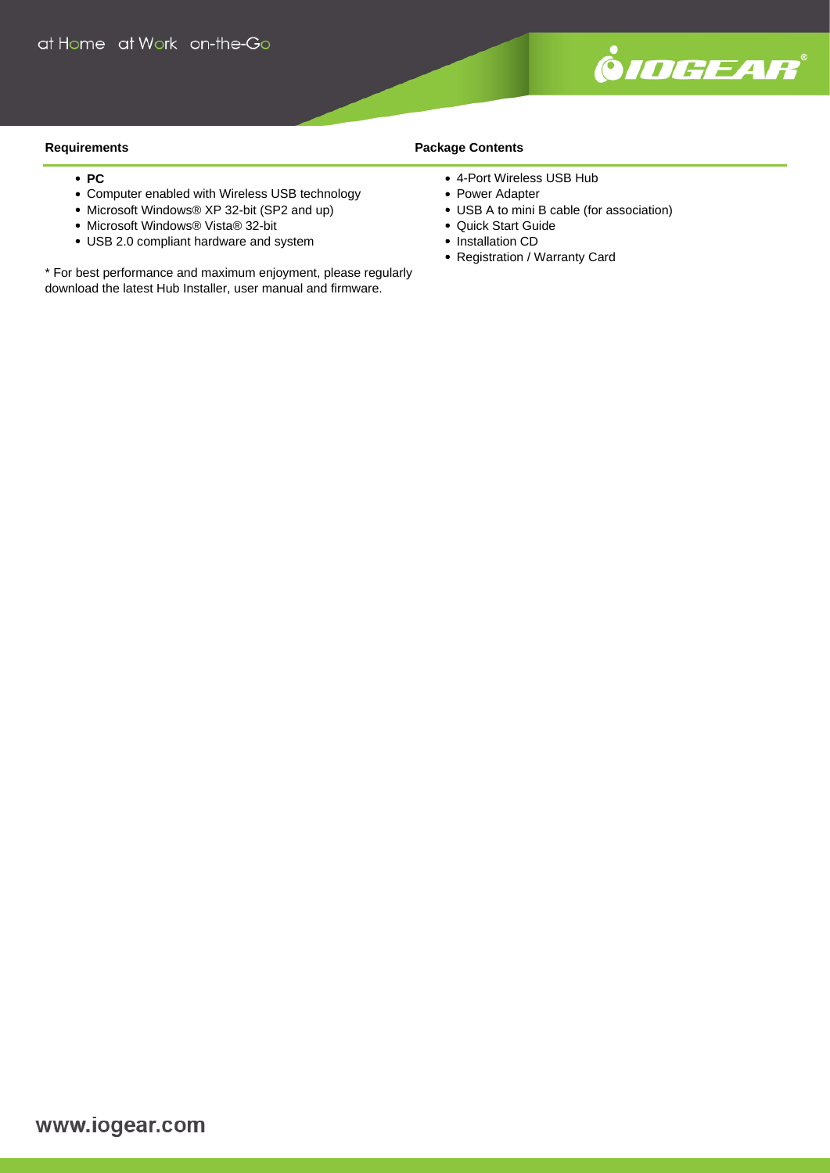

#### **Requirements**

- $\cdot$  **PC**
- Computer enabled with Wireless USB technology
- Microsoft Windows® XP 32-bit (SP2 and up)
- Microsoft Windows® Vista® 32-bit
- USB 2.0 compliant hardware and system

\* For best performance and maximum enjoyment, please regularly download the latest Hub Installer, user manual and firmware.

### **Package Contents**

- 4-Port Wireless USB Hub
- Power Adapter
- USB A to mini B cable (for association)
- Quick Start Guide
- Installation CD
- Registration / Warranty Card